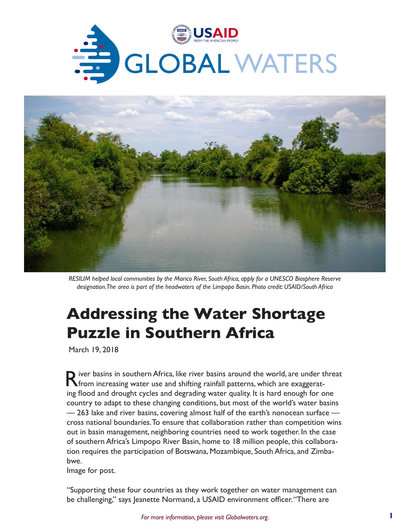



*RESILIM helped local communities by the Marico River, South Africa, apply for a UNESCO Biosphere Reserve designation. The area is part of the headwaters of the Limpopo Basin. Photo credit: USAID/South Africa*

# **Addressing the Water Shortage Puzzle in Southern Africa**

March 19, 2018

River basins in southern Africa, like river basins around the world, are under threat from increasing water use and shifting rainfall patterns, which are exaggerating flood and drought cycles and degrading water quality. It is hard enough for one country to adapt to these changing conditions, but most of the world's water basins — 263 lake and river basins, covering almost half of the earth's nonocean surface cross national boundaries. To ensure that collaboration rather than competition wins out in basin management, neighboring countries need to work together. In the case of southern Africa's Limpopo River Basin, home to 18 million people, this collaboration requires the participation of Botswana, Mozambique, South Africa, and Zimbabwe.

Image for post.

"Supporting these four countries as they work together on water management can be challenging," says Jeanette Normand, a USAID environment officer. "There are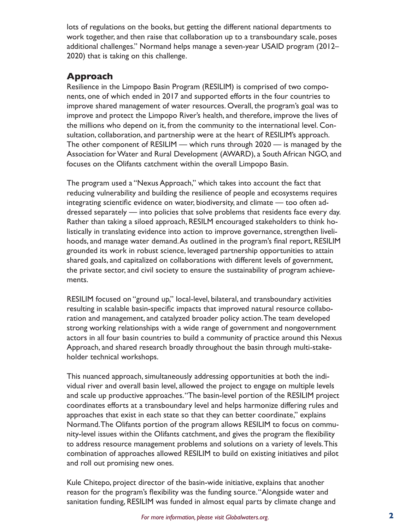lots of regulations on the books, but getting the different national departments to work together, and then raise that collaboration up to a transboundary scale, poses additional challenges." Normand helps manage a seven-year USAID program (2012– 2020) that is taking on this challenge.

### **Approach**

Resilience in the Limpopo Basin Program (RESILIM) is comprised of two components, one of which ended in 2017 and supported efforts in the four countries to improve shared management of water resources. Overall, the program's goal was to improve and protect the Limpopo River's health, and therefore, improve the lives of the millions who depend on it, from the community to the international level. Consultation, collaboration, and partnership were at the heart of RESILIM's approach. The other component of RESILIM — which runs through 2020 — is managed by the Association for Water and Rural Development (AWARD), a South African NGO, and focuses on the Olifants catchment within the overall Limpopo Basin.

The program used a "Nexus Approach," which takes into account the fact that reducing vulnerability and building the resilience of people and ecosystems requires integrating scientific evidence on water, biodiversity, and climate — too often addressed separately — into policies that solve problems that residents face every day. Rather than taking a siloed approach, RESILM encouraged stakeholders to think holistically in translating evidence into action to improve governance, strengthen livelihoods, and manage water demand. As outlined in the program's final report, RESILIM grounded its work in robust science, leveraged partnership opportunities to attain shared goals, and capitalized on collaborations with different levels of government, the private sector, and civil society to ensure the sustainability of program achievements.

RESILIM focused on "ground up," local-level, bilateral, and transboundary activities resulting in scalable basin-specific impacts that improved natural resource collaboration and management, and catalyzed broader policy action. The team developed strong working relationships with a wide range of government and nongovernment actors in all four basin countries to build a community of practice around this Nexus Approach, and shared research broadly throughout the basin through multi-stakeholder technical workshops.

This nuanced approach, simultaneously addressing opportunities at both the individual river and overall basin level, allowed the project to engage on multiple levels and scale up productive approaches. "The basin-level portion of the RESILIM project coordinates efforts at a transboundary level and helps harmonize differing rules and approaches that exist in each state so that they can better coordinate," explains Normand. The Olifants portion of the program allows RESILIM to focus on community-level issues within the Olifants catchment, and gives the program the flexibility to address resource management problems and solutions on a variety of levels. This combination of approaches allowed RESILIM to build on existing initiatives and pilot and roll out promising new ones.

Kule Chitepo, project director of the basin-wide initiative, explains that another reason for the program's flexibility was the funding source. "Alongside water and sanitation funding, RESILIM was funded in almost equal parts by climate change and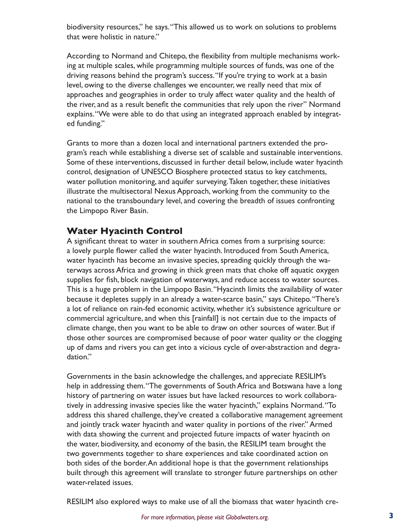biodiversity resources," he says. "This allowed us to work on solutions to problems that were holistic in nature."

According to Normand and Chitepo, the flexibility from multiple mechanisms working at multiple scales, while programming multiple sources of funds, was one of the driving reasons behind the program's success. "If you're trying to work at a basin level, owing to the diverse challenges we encounter, we really need that mix of approaches and geographies in order to truly affect water quality and the health of the river, and as a result benefit the communities that rely upon the river" Normand explains. "We were able to do that using an integrated approach enabled by integrated funding."

Grants to more than a dozen local and international partners extended the program's reach while establishing a diverse set of scalable and sustainable interventions. Some of these interventions, discussed in further detail below, include water hyacinth control, designation of UNESCO Biosphere protected status to key catchments, water pollution monitoring, and aquifer surveying. Taken together, these initiatives illustrate the multisectoral Nexus Approach, working from the community to the national to the transboundary level, and covering the breadth of issues confronting the Limpopo River Basin.

#### **Water Hyacinth Control**

A significant threat to water in southern Africa comes from a surprising source: a lovely purple flower called the water hyacinth. Introduced from South America, water hyacinth has become an invasive species, spreading quickly through the waterways across Africa and growing in thick green mats that choke off aquatic oxygen supplies for fish, block navigation of waterways, and reduce access to water sources. This is a huge problem in the Limpopo Basin. "Hyacinth limits the availability of water because it depletes supply in an already a water-scarce basin," says Chitepo. "There's a lot of reliance on rain-fed economic activity, whether it's subsistence agriculture or commercial agriculture, and when this [rainfall] is not certain due to the impacts of climate change, then you want to be able to draw on other sources of water. But if those other sources are compromised because of poor water quality or the clogging up of dams and rivers you can get into a vicious cycle of over-abstraction and degradation."

Governments in the basin acknowledge the challenges, and appreciate RESILIM's help in addressing them. "The governments of South Africa and Botswana have a long history of partnering on water issues but have lacked resources to work collaboratively in addressing invasive species like the water hyacinth," explains Normand. "To address this shared challenge, they've created a collaborative management agreement and jointly track water hyacinth and water quality in portions of the river." Armed with data showing the current and projected future impacts of water hyacinth on the water, biodiversity, and economy of the basin, the RESILIM team brought the two governments together to share experiences and take coordinated action on both sides of the border. An additional hope is that the government relationships built through this agreement will translate to stronger future partnerships on other water-related issues.

RESILIM also explored ways to make use of all the biomass that water hyacinth cre-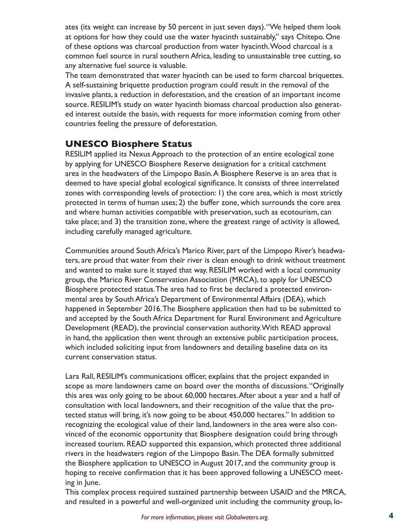ates (its weight can increase by 50 percent in just seven days). "We helped them look at options for how they could use the water hyacinth sustainably," says Chitepo. One of these options was charcoal production from water hyacinth. Wood charcoal is a common fuel source in rural southern Africa, leading to unsustainable tree cutting, so any alternative fuel source is valuable.

The team demonstrated that water hyacinth can be used to form charcoal briquettes. A self-sustaining briquette production program could result in the removal of the invasive plants, a reduction in deforestation, and the creation of an important income source. RESILIM's study on water hyacinth biomass charcoal production also generated interest outside the basin, with requests for more information coming from other countries feeling the pressure of deforestation.

#### **UNESCO Biosphere Status**

RESILIM applied its Nexus Approach to the protection of an entire ecological zone by applying for UNESCO Biosphere Reserve designation for a critical catchment area in the headwaters of the Limpopo Basin. A Biosphere Reserve is an area that is deemed to have special global ecological significance. It consists of three interrelated zones with corresponding levels of protection: 1) the core area, which is most strictly protected in terms of human uses; 2) the buffer zone, which surrounds the core area and where human activities compatible with preservation, such as ecotourism, can take place; and 3) the transition zone, where the greatest range of activity is allowed, including carefully managed agriculture.

Communities around South Africa's Marico River, part of the Limpopo River's headwaters, are proud that water from their river is clean enough to drink without treatment and wanted to make sure it stayed that way. RESILIM worked with a local community group, the Marico River Conservation Association (MRCA), to apply for UNESCO Biosphere protected status. The area had to first be declared a protected environmental area by South Africa's Department of Environmental Affairs (DEA), which happened in September 2016. The Biosphere application then had to be submitted to and accepted by the South Africa Department for Rural Environment and Agriculture Development (READ), the provincial conservation authority. With READ approval in hand, the application then went through an extensive public participation process, which included soliciting input from landowners and detailing baseline data on its current conservation status.

Lara Rall, RESILIM's communications officer, explains that the project expanded in scope as more landowners came on board over the months of discussions. "Originally this area was only going to be about 60,000 hectares. After about a year and a half of consultation with local landowners, and their recognition of the value that the protected status will bring, it's now going to be about 450,000 hectares." In addition to recognizing the ecological value of their land, landowners in the area were also convinced of the economic opportunity that Biosphere designation could bring through increased tourism. READ supported this expansion, which protected three additional rivers in the headwaters region of the Limpopo Basin. The DEA formally submitted the Biosphere application to UNESCO in August 2017, and the community group is hoping to receive confirmation that it has been approved following a UNESCO meeting in June.

This complex process required sustained partnership between USAID and the MRCA, and resulted in a powerful and well-organized unit including the community group, lo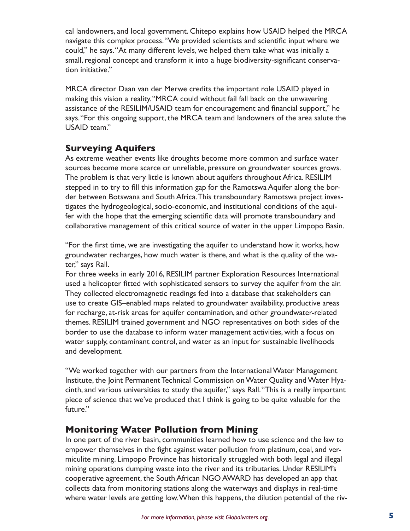cal landowners, and local government. Chitepo explains how USAID helped the MRCA navigate this complex process. "We provided scientists and scientific input where we could," he says. "At many different levels, we helped them take what was initially a small, regional concept and transform it into a huge biodiversity-significant conservation initiative."

MRCA director Daan van der Merwe credits the important role USAID played in making this vision a reality. "MRCA could without fail fall back on the unwavering assistance of the RESILIM/USAID team for encouragement and financial support," he says. "For this ongoing support, the MRCA team and landowners of the area salute the USAID team."

## **Surveying Aquifers**

As extreme weather events like droughts become more common and surface water sources become more scarce or unreliable, pressure on groundwater sources grows. The problem is that very little is known about aquifers throughout Africa. RESILIM stepped in to try to fill this information gap for the Ramotswa Aquifer along the border between Botswana and South Africa. This transboundary Ramotswa project investigates the hydrogeological, socio-economic, and institutional conditions of the aquifer with the hope that the emerging scientific data will promote transboundary and collaborative management of this critical source of water in the upper Limpopo Basin.

"For the first time, we are investigating the aquifer to understand how it works, how groundwater recharges, how much water is there, and what is the quality of the water," says Rall.

For three weeks in early 2016, RESILIM partner Exploration Resources International used a helicopter fitted with sophisticated sensors to survey the aquifer from the air. They collected electromagnetic readings fed into a database that stakeholders can use to create GIS–enabled maps related to groundwater availability, productive areas for recharge, at-risk areas for aquifer contamination, and other groundwater-related themes. RESILIM trained government and NGO representatives on both sides of the border to use the database to inform water management activities, with a focus on water supply, contaminant control, and water as an input for sustainable livelihoods and development.

"We worked together with our partners from the International Water Management Institute, the Joint Permanent Technical Commission on Water Quality and Water Hyacinth, and various universities to study the aquifer," says Rall. "This is a really important piece of science that we've produced that I think is going to be quite valuable for the future."

# **Monitoring Water Pollution from Mining**

In one part of the river basin, communities learned how to use science and the law to empower themselves in the fight against water pollution from platinum, coal, and vermiculite mining. Limpopo Province has historically struggled with both legal and illegal mining operations dumping waste into the river and its tributaries. Under RESILIM's cooperative agreement, the South African NGO AWARD has developed an app that collects data from monitoring stations along the waterways and displays in real-time where water levels are getting low. When this happens, the dilution potential of the riv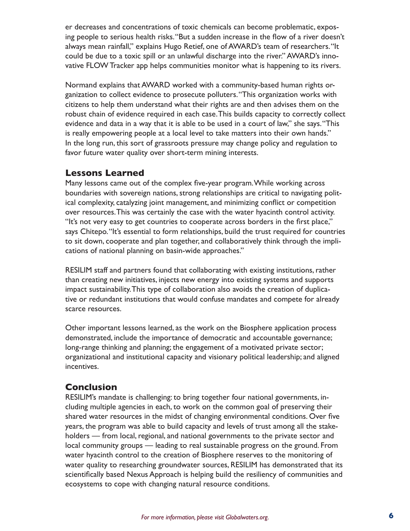er decreases and concentrations of toxic chemicals can become problematic, exposing people to serious health risks. "But a sudden increase in the flow of a river doesn't always mean rainfall," explains Hugo Retief, one of AWARD's team of researchers. "It could be due to a toxic spill or an unlawful discharge into the river." AWARD's innovative FLOW Tracker app helps communities monitor what is happening to its rivers.

Normand explains that AWARD worked with a community-based human rights organization to collect evidence to prosecute polluters. "This organization works with citizens to help them understand what their rights are and then advises them on the robust chain of evidence required in each case. This builds capacity to correctly collect evidence and data in a way that it is able to be used in a court of law," she says. "This is really empowering people at a local level to take matters into their own hands." In the long run, this sort of grassroots pressure may change policy and regulation to favor future water quality over short-term mining interests.

#### **Lessons Learned**

Many lessons came out of the complex five-year program. While working across boundaries with sovereign nations, strong relationships are critical to navigating political complexity, catalyzing joint management, and minimizing conflict or competition over resources. This was certainly the case with the water hyacinth control activity. "It's not very easy to get countries to cooperate across borders in the first place," says Chitepo. "It's essential to form relationships, build the trust required for countries to sit down, cooperate and plan together, and collaboratively think through the implications of national planning on basin-wide approaches."

RESILIM staff and partners found that collaborating with existing institutions, rather than creating new initiatives, injects new energy into existing systems and supports impact sustainability. This type of collaboration also avoids the creation of duplicative or redundant institutions that would confuse mandates and compete for already scarce resources.

Other important lessons learned, as the work on the Biosphere application process demonstrated, include the importance of democratic and accountable governance; long-range thinking and planning; the engagement of a motivated private sector; organizational and institutional capacity and visionary political leadership; and aligned incentives.

## **Conclusion**

RESILIM's mandate is challenging: to bring together four national governments, including multiple agencies in each, to work on the common goal of preserving their shared water resources in the midst of changing environmental conditions. Over five years, the program was able to build capacity and levels of trust among all the stakeholders — from local, regional, and national governments to the private sector and local community groups — leading to real sustainable progress on the ground. From water hyacinth control to the creation of Biosphere reserves to the monitoring of water quality to researching groundwater sources, RESILIM has demonstrated that its scientifically based Nexus Approach is helping build the resiliency of communities and ecosystems to cope with changing natural resource conditions.